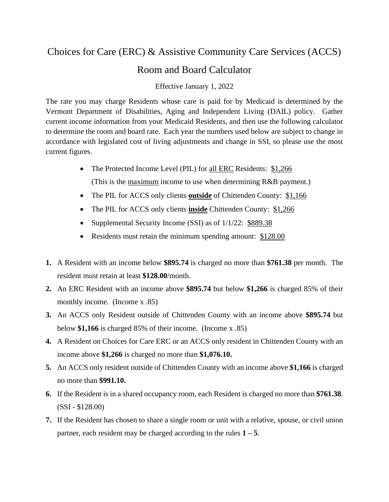## Choices for Care (ERC) & Assistive Community Care Services (ACCS)

## Room and Board Calculator

## Effective January 1, 2022

The rate you may charge Residents whose care is paid for by Medicaid is determined by the Vermont Department of Disabilities, Aging and Independent Living (DAIL) policy. Gather current income information from your Medicaid Residents, and then use the following calculator to determine the room and board rate. Each year the numbers used below are subject to change in accordance with legislated cost of living adjustments and change in SSI, so please use the most current figures.

- The Protected Income Level (PIL) for all ERC Residents: \$1,266 (This is the maximum income to use when determining R&B payment.)
- The PIL for ACCS only clients **outside** of Chittenden County: \$1,166
- The PIL for ACCS only clients **inside** Chittenden County: \$1,266
- Supplemental Security Income (SSI) as of  $1/1/22$ : \$889.38
- Residents must retain the minimum spending amount: \$128.00
- **1.** A Resident with an income below **\$895.74** is charged no more than **\$761.38** per month. The resident must retain at least **\$128.00**/month.
- **2.** An ERC Resident with an income above **\$895.74** but below **\$1,266** is charged 85% of their monthly income. (Income x .85)
- **3.** An ACCS only Resident outside of Chittenden County with an income above **\$895.74** but below **\$1,166** is charged 85% of their income. (Income x .85)
- **4.** A Resident on Choices for Care ERC or an ACCS only resident in Chittenden County with an income above **\$1,266** is charged no more than **\$1,076.10.**
- **5.** An ACCS only resident outside of Chittenden County with an income above **\$1,166** is charged no more than **\$991.10.**
- **6.** If the Resident is in a shared occupancy room, each Resident is charged no more than **\$761.38**. (SSI - \$128.00)
- **7.** If the Resident has chosen to share a single room or unit with a relative, spouse, or civil union partner, each resident may be charged according to the rules  $1 - 5$ .